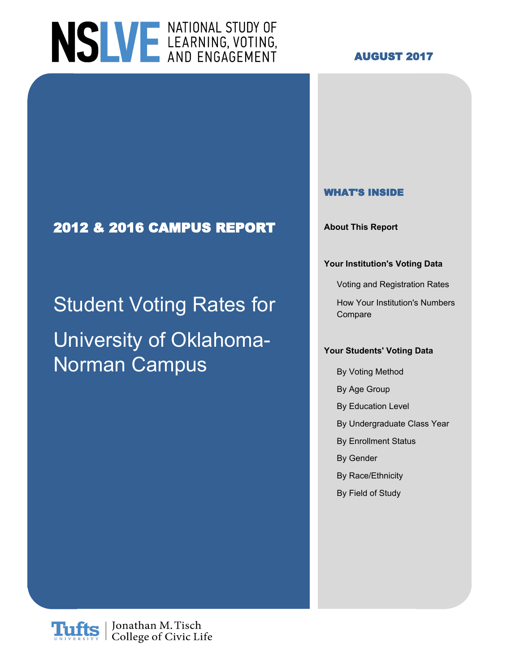# NSLVE LEARNING, VOTING,

#### **AUGUST 2017**

### **2012 & 2016 CAMPUS REPORT About This Report**

# Student Voting Rates for How Your Institution's Numbers University of Oklahoma-Norman Campus

#### **WHAT'S INSIDE**

#### **Your Institution's Voting Data**

Voting and Registration Rates

Compare

#### **Your Students' Voting Data**

- By Voting Method
- By Age Group
- By Education Level
- By Undergraduate Class Year
- By Enrollment Status
- By Gender
- By Race/Ethnicity
- By Field of Study

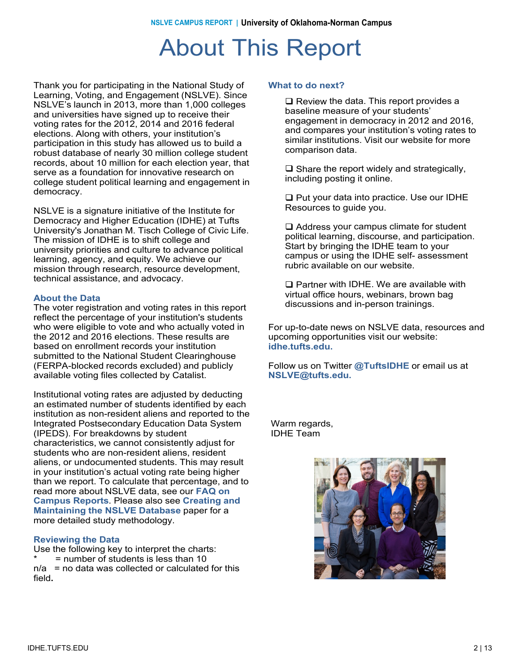### About This Report

Thank you for participating in the National Study of Learning, Voting, and Engagement (NSLVE). Since Learning, Voting, and Engagement (NSLVE). Since NSLVE's launch in 2013, more than 1,000 colleges NSLVE's launch in 2013, more than 1,000 colleges and universities have signed up to receive their and universities have signed up to receive their voting rates for the 2012, 2014 and 2016 federal voting rates for the 2012, 2014 and 2016 elections. elections. Along with others, your institution's Along with others, your institution's participation in participation in this study has allowed us to build a this study has allowed us to build a robust database robust database of nearly 30 million college student robust database or nearly 30 million college student<br>records, about 10 million for each election year, that records, about To million for each election year,<br>serve as a foundation for innovative research on serve as a foundation for innovative research<br>college student political learning and engager college student political learning and engagement in<br>domocracy democracy. democracy. Thank you for participating in the National Study of

NSLVE is a signature initiative of the Institute for Democracy and Higher Education (IDHE) at Tufts Democracy and Higher Education (IDHE) at the University's Jonathan M. Tisch College of Civic Life. Oniversity's Johanian M. Tisch College of Civic I<br>The mission of IDHE is to shift college and mic mission of IDHE is to shift college and<br>university prierities and culture to advance politic university priorities and culture to advance political<br>learning, agonov, and equity, We achieve our icarinity, agency, and equity. We achieve ou<br>mission through research, resource develop mission through research, resource development,<br>technical assistance, and advessey technical assistance, and advocacy. NSLVE is a signature initiative of the Institute for learning, agency, and equity. We achieve our

#### **About the Data**

**About the Data** The voter registration and voting rates in this report The voter registration and voting rates in this report reflect the percentage of your institution's students reflect the percentage of your institution's students who were eligible to vote and who actually voted in who were eligible to vote and who actually voted in<br>the 2012 and 2016 elections. These results are the 2012 and 2016 elections. These results are based on enrollment records your institution based on enrollment records your institution submitted to the National Student Clearinghouse submitted to the National Student Clearinghouse (FERPA-blocked records excluded) and publicly (FERPA-blocked records excluded) and publicly<br>available veting files collected by Catalist available voting files collected by Catalist. available voting files collected by Catalist.

mstitutional voting rates are adjusted by deducting<br>an estimated number of students identified by each an estimated number or students identified by each<br>institution as non-resident aliens and reported to the institution as non-resident allens and reported to the<br>Integrated Postsecondary Education Data System miegrated Fostsecondary Education Data<br>(IPEDS). For breakdowns by student (in ED3). For breakdowns by student<br>characteristics, we cannot consistently adjust for characteristics, we cannot consistently adjust for<br>students who are non-resident aliens, resident students who are non-resident aliens, resident<br>aliens, or undocumented students. This may result alleris, or undocumented students. This may result<br>in your institution's actual voting rate being higher In your institution's actual voting rate being nigher<br>than we report. To calculate that percentage, and to **Reports**. read more about NSLVE data, see our **FAQ on** Please also see our NSLVE Method (insert link) for **Maintaining the NSLVE Database** paper for a **Mamtaning the NSEVE Database**<br>more detailed study methodology. Institutional voting rates are adjusted by deducting **Campus Reports**. Please also see **Creating and**

#### **Reviewing the Data Reviewing the Data**

Use the following key to interpret the charts: Use the following key to interpret the charts: \* = number of students is less than 10 \* = number of students is less than 10 n/a = no data was collected or calculated for this n/a = no data was collected or calculated for this field**.** field**.**

#### **What to do next? What to do next?**

 $\square$  Review the data. This report provides a hospital measure of vour students' baseline measure of your students' engagement in democracy in 2012 and 2016, engagement in democracy in 2012 and 2016,<br>and compares your institution's voting rates to and compares your institution's voting rates to<br>eimiler institutions. Vieit our website for mere similar institutions. Visit our website for more<br>comparison data comparison data. comparison data. baseline measure of your students'

 $\square$  Share the report widely and strategically, including posting it online.

 $\square$  Put your data into practice. Use our IDHE Resources to guide you.

 $\square$  Address your campus climate for student political learning, discourse, and participation.<br>Start by bringing the JDHE team to your political by pringing the IDHE team to your<br>compus or using the IDHE self-assessment campus or using the IDHE self- assessment<br>rubric available on our website rubric available on our website. Start by bringing the IDHE team to your

**The Partner with IDHE. We are available with IDHE.**<br>With all office bours, we binare, brown bog virtual office hours, webinars, brown bag virtual office hours, webinars, brown bag discussions and in-person trainings. discussions and in-person trainings.  $\Box$  Partner with IDHE. We are available with

r or up-to-date news on NSLVE data, resources and<br>upcoming opportunities visit our website: upcoming opportunities visit our website: upcoming opportunities visit our website:  $i$ dhe.tufts.edu. For up-to-date news on NSLVE data, resources and

**@TuftsIDHE.** Follow us on Twitter @TuftsIDHE or email us at<br>NSLVE@tufte.odu **NSLVE@tufts.edu. NSLVE@tufts.edu.**

warm regarus,<br>INHE Toom IDHE Team IDHE Team Warm regards,

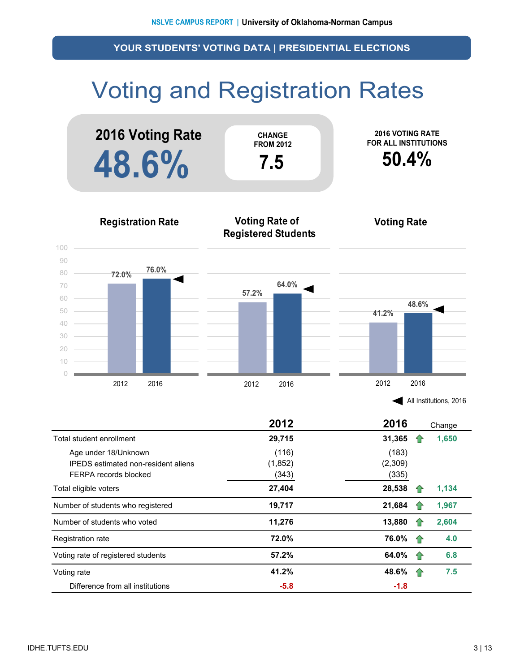## Voting and Registration Rates





All Institutions, 2016

|                                            | 2012    | 2016    |    | Change |
|--------------------------------------------|---------|---------|----|--------|
| Total student enrollment                   | 29,715  | 31,365  |    | 1,650  |
| Age under 18/Unknown                       | (116)   | (183)   |    |        |
| <b>IPEDS</b> estimated non-resident aliens | (1,852) | (2,309) |    |        |
| FERPA records blocked                      | (343)   | (335)   |    |        |
| Total eligible voters                      | 27,404  | 28,538  |    | 1,134  |
| Number of students who registered          | 19,717  | 21,684  |    | 1,967  |
| Number of students who voted               | 11,276  | 13,880  |    | 2,604  |
| Registration rate                          | 72.0%   | 76.0%   | 10 | 4.0    |
| Voting rate of registered students         | 57.2%   | 64.0%   | 11 | 6.8    |
| Voting rate                                | 41.2%   | 48.6%   | 11 | 7.5    |
| Difference from all institutions           | $-5.8$  | $-1.8$  |    |        |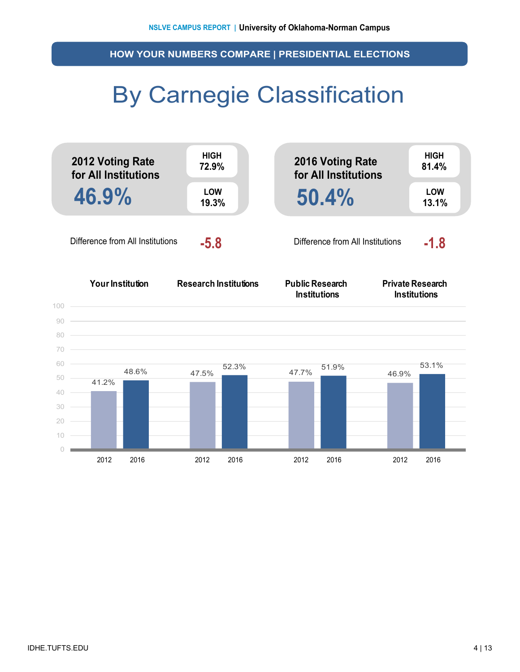**HOW YOUR NUMBERS COMPARE | PRESIDENTIAL ELECTIONS**

### By Carnegie Classification

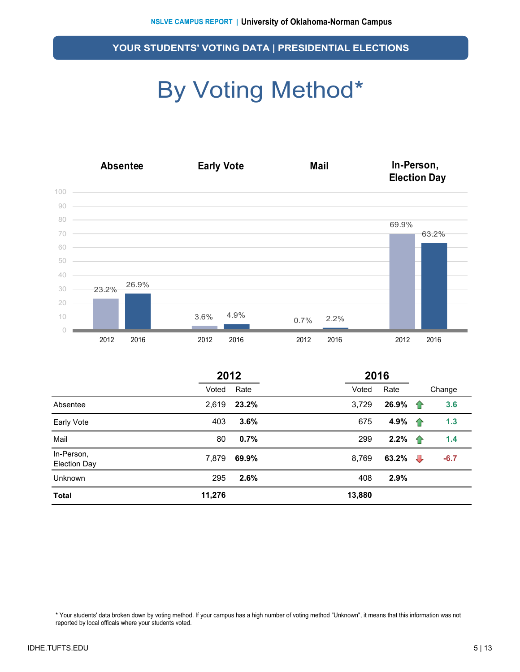# By Voting Method\*



|                                   | 2012   |       |        | 2016  |                |        |
|-----------------------------------|--------|-------|--------|-------|----------------|--------|
|                                   | Voted  | Rate  | Voted  | Rate  |                | Change |
| Absentee                          | 2,619  | 23.2% | 3,729  | 26.9% | ⇑              | 3.6    |
| Early Vote                        | 403    | 3.6%  | 675    | 4.9%  | 企              | 1.3    |
| Mail                              | 80     | 0.7%  | 299    | 2.2%  | ⇑              | 1.4    |
| In-Person,<br><b>Election Day</b> | 7,879  | 69.9% | 8,769  | 63.2% | $\overline{v}$ | $-6.7$ |
| Unknown                           | 295    | 2.6%  | 408    | 2.9%  |                |        |
| <b>Total</b>                      | 11,276 |       | 13,880 |       |                |        |

\* Your students' data broken down by voting method. If your campus has a high number of voting method "Unknown", it means that this information was not reported by local officals where your students voted.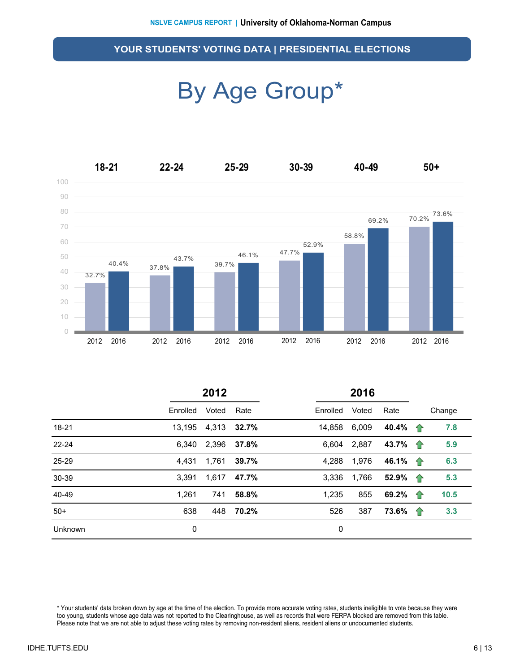### By Age Group\*



|           | 2012     |             |       | 2016     |       |                          |   |        |
|-----------|----------|-------------|-------|----------|-------|--------------------------|---|--------|
|           | Enrolled | Voted       | Rate  | Enrolled | Voted | Rate                     |   | Change |
| $18 - 21$ | 13,195   | 4,313       | 32.7% | 14,858   | 6,009 | 40.4% $\uparrow$         |   | 7.8    |
| $22 - 24$ | 6.340    | 2,396       | 37.8% | 6.604    | 2,887 | 43.7% 个                  |   | 5.9    |
| 25-29     | 4.431    | 1,761       | 39.7% | 4.288    | 1,976 | 46.1% $\hat{\mathbf{T}}$ |   | 6.3    |
| 30-39     | 3.391    | 1,617 47.7% |       | 3.336    | 1,766 | 52.9% 个                  |   | 5.3    |
| 40-49     | 1.261    | 741         | 58.8% | 1,235    | 855   | 69.2%                    | 企 | 10.5   |
| $50+$     | 638      | 448         | 70.2% | 526      | 387   | 73.6%                    | 企 | 3.3    |
| Unknown   | 0        |             |       | 0        |       |                          |   |        |

\* Your students' data broken down by age at the time of the election. To provide more accurate voting rates, students ineligible to vote because they were too young, students whose age data was not reported to the Clearinghouse, as well as records that were FERPA blocked are removed from this table. Please note that we are not able to adjust these voting rates by removing non-resident aliens, resident aliens or undocumented students.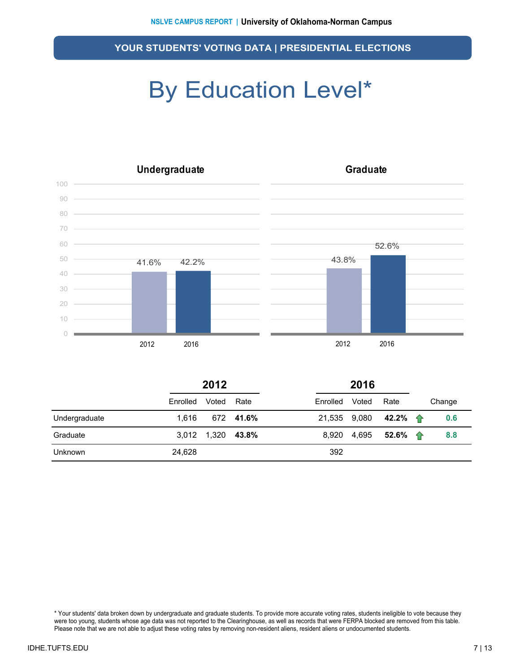## By Education Level\*



|                | 2012     |                   |           |          | 2016  |                               |  |        |
|----------------|----------|-------------------|-----------|----------|-------|-------------------------------|--|--------|
|                | Enrolled | Voted             | Rate      | Enrolled | Voted | Rate                          |  | Change |
| Undergraduate  | 1.616    |                   | 672 41.6% |          |       | 21,535 9,080 42.2% $\uparrow$ |  | 0.6    |
| Graduate       |          | 3,012 1,320 43.8% |           | 8.920    |       | 4,695 <b>52.6% 个</b>          |  | 8.8    |
| <b>Unknown</b> | 24,628   |                   |           | 392      |       |                               |  |        |

\* Your students' data broken down by undergraduate and graduate students. To provide more accurate voting rates, students ineligible to vote because they were too young, students whose age data was not reported to the Clearinghouse, as well as records that were FERPA blocked are removed from this table. Please note that we are not able to adjust these voting rates by removing non-resident aliens, resident aliens or undocumented students.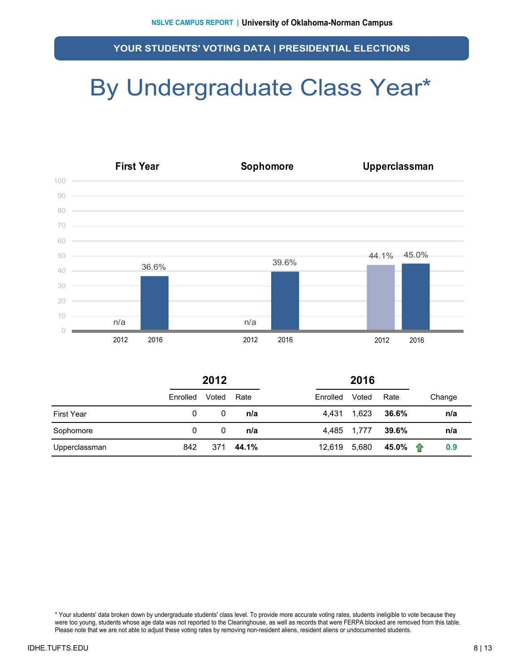## By Undergraduate Class Year\*



|                   | 2012     |       |       |          |             |       |          |
|-------------------|----------|-------|-------|----------|-------------|-------|----------|
|                   | Enrolled | Voted | Rate  | Enrolled | Voted       | Rate  | Change   |
| <b>First Year</b> | 0        | 0     | n/a   | 4.431    | 1,623       | 36.6% | n/a      |
| Sophomore         | 0        | 0     | n/a   |          | 4,485 1,777 | 39.6% | n/a      |
| Upperclassman     | 842      | 371   | 44.1% | 12,619   | 5,680       | 45.0% | ⇑<br>0.9 |

\* Your students' data broken down by undergraduate students' class level. To provide more accurate voting rates, students ineligible to vote because they were too young, students whose age data was not reported to the Clearinghouse, as well as records that were FERPA blocked are removed from this table. Please note that we are not able to adjust these voting rates by removing non-resident aliens, resident aliens or undocumented students.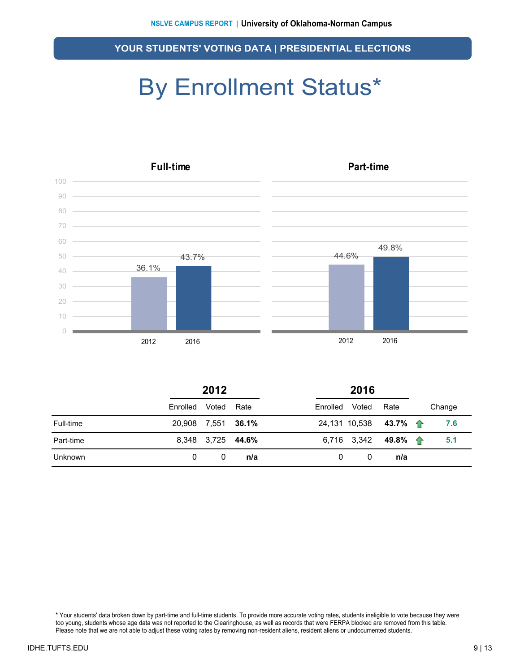### By Enrollment Status\*



|           | 2012               |       |                   | 2016     |       |                              |  |        |
|-----------|--------------------|-------|-------------------|----------|-------|------------------------------|--|--------|
|           | Enrolled           | Voted | Rate              | Enrolled | Voted | Rate                         |  | Change |
| Full-time | 20,908 7,551 36.1% |       |                   |          |       | 24,131 10,538 43.7% 个        |  | 7.6    |
| Part-time |                    |       | 8,348 3,725 44.6% |          |       | 6,716 3,342 49.8% $\uparrow$ |  | 5.1    |
| Unknown   | $\Omega$           | 0     | n/a               | 0        | 0     | n/a                          |  |        |

\* Your students' data broken down by part-time and full-time students. To provide more accurate voting rates, students ineligible to vote because they were too young, students whose age data was not reported to the Clearinghouse, as well as records that were FERPA blocked are removed from this table. Please note that we are not able to adjust these voting rates by removing non-resident aliens, resident aliens or undocumented students.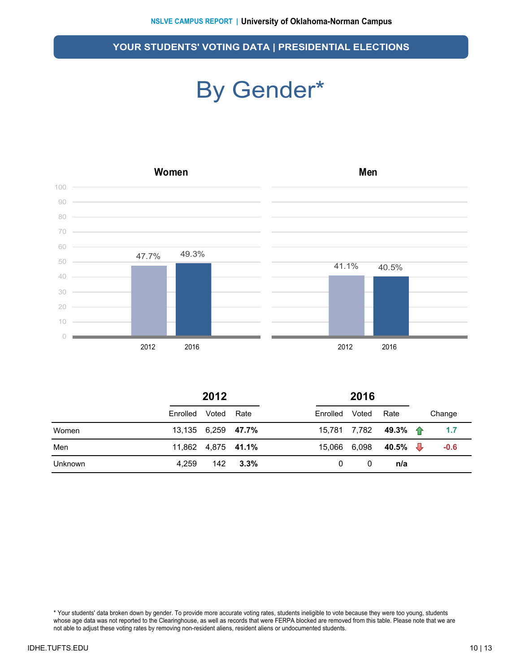### By Gender\*



|         | 2012               |  |            |                | 2016 |                      |  |        |
|---------|--------------------|--|------------|----------------|------|----------------------|--|--------|
|         | Enrolled Voted     |  | Rate       | Enrolled Voted |      | Rate                 |  | Change |
| Women   | 13,135 6,259 47.7% |  |            |                |      | 15,781 7,782 49.3% 个 |  | 1.7    |
| Men     | 11,862 4,875 41.1% |  |            | 15,066 6,098   |      | 40.5% $\sqrt{ }$     |  | $-0.6$ |
| Unknown | 4.259              |  | $142$ 3.3% | 0              | 0    | n/a                  |  |        |

\* Your students' data broken down by gender. To provide more accurate voting rates, students ineligible to vote because they were too young, students whose age data was not reported to the Clearinghouse, as well as records that were FERPA blocked are removed from this table. Please note that we are not able to adjust these voting rates by removing non-resident aliens, resident aliens or undocumented students.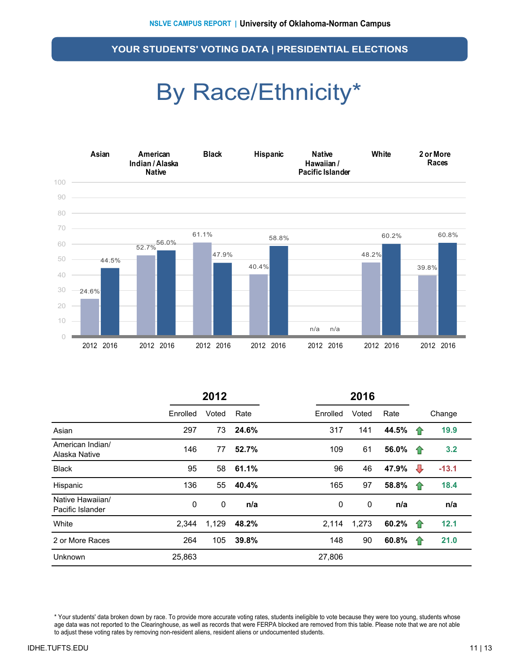### By Race/Ethnicity\*



|                                      | 2012     |             |       |          | 2016  |       |   |         |
|--------------------------------------|----------|-------------|-------|----------|-------|-------|---|---------|
|                                      | Enrolled | Voted       | Rate  | Enrolled | Voted | Rate  |   | Change  |
| Asian                                | 297      | 73          | 24.6% | 317      | 141   | 44.5% | 企 | 19.9    |
| American Indian/<br>Alaska Native    | 146      | 77          | 52.7% | 109      | 61    | 56.0% | ⇧ | 3.2     |
| <b>Black</b>                         | 95       | 58          | 61.1% | 96       | 46    | 47.9% | ⇩ | $-13.1$ |
| Hispanic                             | 136      | 55          | 40.4% | 165      | 97    | 58.8% | 企 | 18.4    |
| Native Hawaiian/<br>Pacific Islander | 0        | $\mathbf 0$ | n/a   | 0        | 0     | n/a   |   | n/a     |
| White                                | 2,344    | 1,129       | 48.2% | 2,114    | 1,273 | 60.2% | 企 | 12.1    |
| 2 or More Races                      | 264      | 105         | 39.8% | 148      | 90    | 60.8% | 企 | 21.0    |
| Unknown                              | 25,863   |             |       | 27,806   |       |       |   |         |

\* Your students' data broken down by race. To provide more accurate voting rates, students ineligible to vote because they were too young, students whose age data was not reported to the Clearinghouse, as well as records that were FERPA blocked are removed from this table. Please note that we are not able to adjust these voting rates by removing non-resident aliens, resident aliens or undocumented students.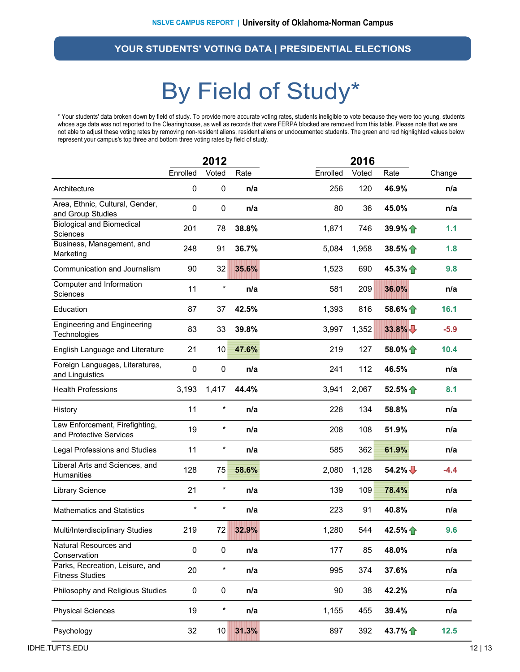### By Field of Study\*

\* Your students' data broken down by field of study. To provide more accurate voting rates, students ineligible to vote because they were too young, students whose age data was not reported to the Clearinghouse, as well as records that were FERPA blocked are removed from this table. Please note that we are not able to adjust these voting rates by removing non-resident aliens, resident aliens or undocumented students. The green and red highlighted values below represent your campus's top three and bottom three voting rates by field of study.

|                                                           | 2012        |           |       | 2016     |       |                   |        |
|-----------------------------------------------------------|-------------|-----------|-------|----------|-------|-------------------|--------|
|                                                           | Enrolled    | Voted     | Rate  | Enrolled | Voted | Rate              | Change |
| Architecture                                              | 0           | $\pmb{0}$ | n/a   | 256      | 120   | 46.9%             | n/a    |
| Area, Ethnic, Cultural, Gender,<br>and Group Studies      | 0           | $\pmb{0}$ | n/a   | 80       | 36    | 45.0%             | n/a    |
| <b>Biological and Biomedical</b><br>Sciences              | 201         | 78        | 38.8% | 1,871    | 746   | 39.9%             | 1.1    |
| Business, Management, and<br>Marketing                    | 248         | 91        | 36.7% | 5,084    | 1,958 | $38.5\%$          | 1.8    |
| Communication and Journalism                              | 90          | 32        | 35.6% | 1,523    | 690   | 45.3% $\bigcap$   | 9.8    |
| Computer and Information<br>Sciences                      | 11          | $\ast$    | n/a   | 581      | 209   | 36.0%             | n/a    |
| Education                                                 | 87          | 37        | 42.5% | 1,393    | 816   | $58.6\%$          | 16.1   |
| <b>Engineering and Engineering</b><br>Technologies        | 83          | 33        | 39.8% | 3,997    | 1,352 | 33.8%             | $-5.9$ |
| English Language and Literature                           | 21          | 10        | 47.6% | 219      | 127   | 58.0% $\bigoplus$ | 10.4   |
| Foreign Languages, Literatures,<br>and Linguistics        | $\mathbf 0$ | $\pmb{0}$ | n/a   | 241      | 112   | 46.5%             | n/a    |
| <b>Health Professions</b>                                 | 3,193       | 1,417     | 44.4% | 3,941    | 2,067 | 52.5%             | 8.1    |
| History                                                   | 11          | $\star$   | n/a   | 228      | 134   | 58.8%             | n/a    |
| Law Enforcement, Firefighting,<br>and Protective Services | 19          | $\star$   | n/a   | 208      | 108   | 51.9%             | n/a    |
| Legal Professions and Studies                             | 11          | *         | n/a   | 585      | 362   | 61.9%             | n/a    |
| Liberal Arts and Sciences, and<br>Humanities              | 128         | 75        | 58.6% | 2,080    | 1,128 | $54.2\%$          | $-4.4$ |
| <b>Library Science</b>                                    | 21          | $\ast$    | n/a   | 139      | 109   | 78.4%             | n/a    |
| <b>Mathematics and Statistics</b>                         | $\star$     | *         | n/a   | 223      | 91    | 40.8%             | n/a    |
| Multi/Interdisciplinary Studies                           | 219         | 72        | 32.9% | 1,280    | 544   | 42.5% 个           | 9.6    |
| Natural Resources and<br>Conservation                     | $\pmb{0}$   | $\pmb{0}$ | n/a   | 177      | 85    | 48.0%             | n/a    |
| Parks, Recreation, Leisure, and<br><b>Fitness Studies</b> | 20          | $\star$   | n/a   | 995      | 374   | 37.6%             | n/a    |
| Philosophy and Religious Studies                          | 0           | 0         | n/a   | 90       | 38    | 42.2%             | n/a    |
| <b>Physical Sciences</b>                                  | 19          | $\ast$    | n/a   | 1,155    | 455   | 39.4%             | n/a    |
| Psychology                                                | 32          | 10        | 31.3% | 897      | 392   | 43.7% 1           | 12.5   |